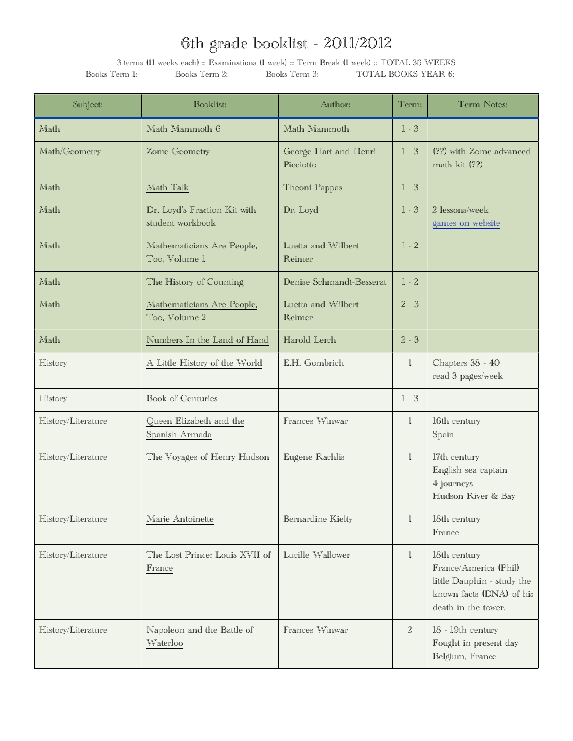| Subject:           | <b>Booklist:</b>                                 | Author:                            | Term:          | Term Notes:                                                                                                            |
|--------------------|--------------------------------------------------|------------------------------------|----------------|------------------------------------------------------------------------------------------------------------------------|
| Math               | Math Mammoth 6                                   | Math Mammoth                       | $1 - 3$        |                                                                                                                        |
| Math/Geometry      | Zome Geometry                                    | George Hart and Henri<br>Picciotto | $1 - 3$        | (??) with Zome advanced<br>math kit (??)                                                                               |
| Math               | Math Talk                                        | Theoni Pappas                      | $1 - 3$        |                                                                                                                        |
| Math               | Dr. Loyd's Fraction Kit with<br>student workbook | Dr. Loyd                           | $1 - 3$        | 2 lessons/week<br>games on website                                                                                     |
| Math               | Mathematicians Are People,<br>Too, Volume 1      | Luetta and Wilbert<br>Reimer       | $1 - 2$        |                                                                                                                        |
| Math               | The History of Counting                          | Denise Schmandt-Besserat           | $1 - 2$        |                                                                                                                        |
| Math               | Mathematicians Are People,<br>Too, Volume 2      | Luetta and Wilbert<br>Reimer       | $2 - 3$        |                                                                                                                        |
| Math               | Numbers In the Land of Hand                      | Harold Lerch                       | $2 - 3$        |                                                                                                                        |
| History            | A Little History of the World                    | E.H. Gombrich                      | $\mathbb{1}$   | Chapters 38 - 40<br>read 3 pages/week                                                                                  |
| History            | <b>Book of Centuries</b>                         |                                    | $1 - 3$        |                                                                                                                        |
| History/Literature | Queen Elizabeth and the<br>Spanish Armada        | Frances Winwar                     | $\mathbb{I}$   | 16th century<br>Spain                                                                                                  |
| History/Literature | The Voyages of Henry Hudson                      | Eugene Rachlis                     | $\mathbb{I}$   | 17th century<br>English sea captain<br>4 journeys<br>Hudson River & Bay                                                |
| History/Literature | Marie Antoinette                                 | Bernardine Kielty                  | $\mathbb{1}$   | 18th century<br>France                                                                                                 |
| History/Literature | The Lost Prince: Louis XVII of<br>France         | Lucille Wallower                   | $\mathbb{1}$   | 18th century<br>France/America (Phil)<br>little Dauphin - study the<br>known facts (DNA) of his<br>death in the tower. |
| History/Literature | Napoleon and the Battle of<br>Waterloo           | Frances Winwar                     | $\overline{2}$ | 18 - 19th century<br>Fought in present day<br>Belgium, France                                                          |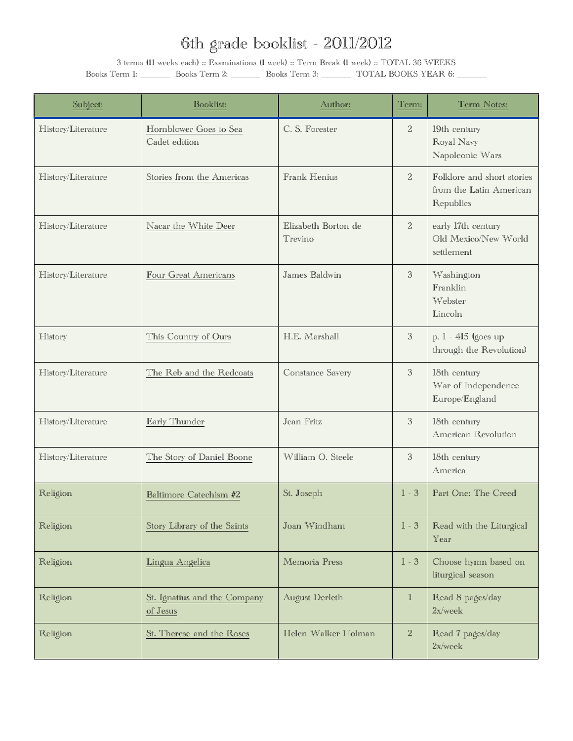| Subject:           | Booklist:                                | Author:                        | Term:          | Term Notes:                                                        |
|--------------------|------------------------------------------|--------------------------------|----------------|--------------------------------------------------------------------|
| History/Literature | Hornblower Goes to Sea<br>Cadet edition  | C. S. Forester                 | $\overline{2}$ | 19th century<br>Royal Navy<br>Napoleonic Wars                      |
| History/Literature | Stories from the Americas                | Frank Henius                   | $\overline{2}$ | Folklore and short stories<br>from the Latin American<br>Republics |
| History/Literature | Nacar the White Deer                     | Elizabeth Borton de<br>Trevino | $\overline{2}$ | early 17th century<br>Old Mexico/New World<br>settlement           |
| History/Literature | Four Great Americans                     | James Baldwin                  | $\mathcal{S}$  | Washington<br>Franklin<br>Webster<br>Lincoln                       |
| History            | This Country of Ours                     | H.E. Marshall                  | $\mathfrak{Z}$ | p. 1 - 415 (goes up<br>through the Revolution)                     |
| History/Literature | The Reb and the Redcoats                 | Constance Savery               | $\mathfrak{Z}$ | 18th century<br>War of Independence<br>Europe/England              |
| History/Literature | Early Thunder                            | Jean Fritz                     | $\mathcal{S}$  | 18th century<br>American Revolution                                |
| History/Literature | The Story of Daniel Boone                | William O. Steele              | $\mathfrak{Z}$ | 18th century<br>America                                            |
| Religion           | Baltimore Catechism #2                   | St. Joseph                     | $1 - 3$        | Part One: The Creed                                                |
| Religion           | Story Library of the Saints              | Joan Windham                   | $1 - 3$        | Read with the Liturgical<br>Year                                   |
| Religion           | Lingua Angelica                          | Memoria Press                  | $1 - 3$        | Choose hymn based on<br>liturgical season                          |
| Religion           | St. Ignatius and the Company<br>of Jesus | August Derleth                 | $\mathbbm{1}$  | Read 8 pages/day<br>2x/week                                        |
| Religion           | St. Therese and the Roses                | Helen Walker Holman            | $\overline{2}$ | Read 7 pages/day<br>2x/week                                        |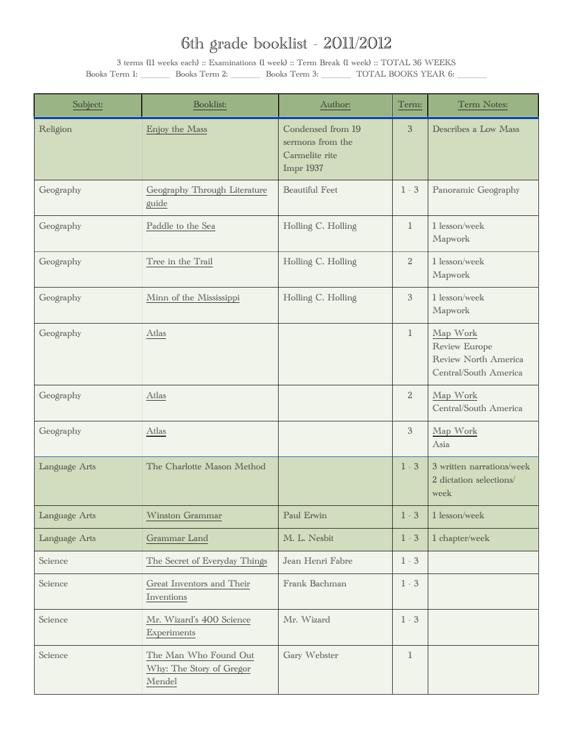| Subject:      | Booklist:                                                   | Author:                                                              | Term:          | Term Notes:                                                                |
|---------------|-------------------------------------------------------------|----------------------------------------------------------------------|----------------|----------------------------------------------------------------------------|
| Religion      | Enjoy the Mass                                              | Condensed from 19<br>sermons from the<br>Carmelite rite<br>Impr 1937 | $\mathfrak{B}$ | Describes a Low Mass                                                       |
| Geography     | Geography Through Literature<br>guide                       | <b>Beautiful Feet</b>                                                | $1 - 3$        | Panoramic Geography                                                        |
| Geography     | Paddle to the Sea                                           | Holling C. Holling                                                   | $\mathbb{1}$   | 1 lesson/week<br>Mapwork                                                   |
| Geography     | Tree in the Trail                                           | Holling C. Holling                                                   | $\overline{2}$ | 1 lesson/week<br>Mapwork                                                   |
| Geography     | Minn of the Mississippi                                     | Holling C. Holling                                                   | $\mathfrak{Z}$ | 1 lesson/week<br>Mapwork                                                   |
| Geography     | Atlas                                                       |                                                                      | $\mathbb{I}$   | Map Work<br>Review Europe<br>Review North America<br>Central/South America |
| Geography     | Atlas                                                       |                                                                      | $\overline{2}$ | Map Work<br>Central/South America                                          |
| Geography     | Atlas                                                       |                                                                      | $\mathfrak{Z}$ | Map Work<br>Asia                                                           |
| Language Arts | The Charlotte Mason Method                                  |                                                                      | $1 - 3$        | 3 written narrations/week<br>2 dictation selections/<br>week               |
| Language Arts | Winston Grammar                                             | Paul Erwin                                                           | $1 - 3$        | 1 lesson/week                                                              |
| Language Arts | Grammar Land                                                | M. L. Nesbit                                                         | $1 - 3$        | 1 chapter/week                                                             |
| Science       | The Secret of Everyday Things                               | Jean Henri Fabre                                                     | $1 - 3$        |                                                                            |
| Science       | Great Inventors and Their<br>Inventions                     | Frank Bachman                                                        | $1 - 3$        |                                                                            |
| Science       | Mr. Wizard's 400 Science<br>Experiments                     | Mr. Wizard                                                           | $1 - 3$        |                                                                            |
| Science       | The Man Who Found Out<br>Why: The Story of Gregor<br>Mendel | Gary Webster                                                         | $\mathbbm{1}$  |                                                                            |